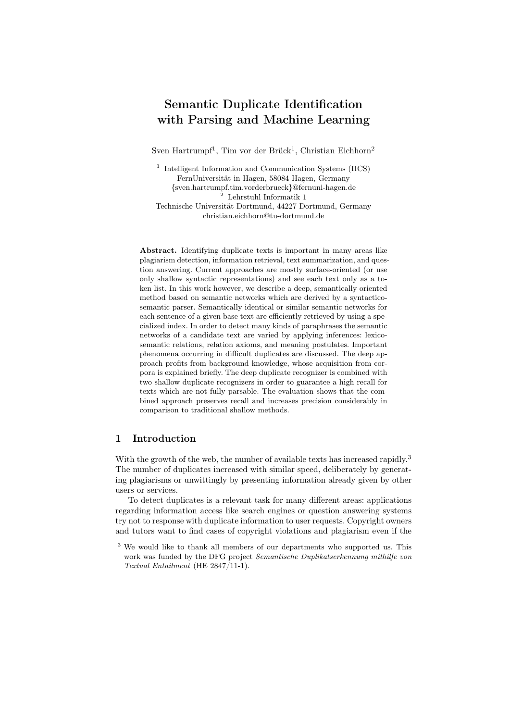# Semantic Duplicate Identification with Parsing and Machine Learning

Sven Hartrumpf<sup>1</sup>, Tim vor der Brück<sup>1</sup>, Christian Eichhorn<sup>2</sup>

<sup>1</sup> Intelligent Information and Communication Systems (IICS) FernUniversität in Hagen, 58084 Hagen, Germany {sven.hartrumpf,tim.vorderbrueck}@fernuni-hagen.de  $\frac{1}{2}$  Lehrstuhl Informatik 1 Technische Universität Dortmund, 44227 Dortmund, Germany christian.eichhorn@tu-dortmund.de

Abstract. Identifying duplicate texts is important in many areas like plagiarism detection, information retrieval, text summarization, and question answering. Current approaches are mostly surface-oriented (or use only shallow syntactic representations) and see each text only as a token list. In this work however, we describe a deep, semantically oriented method based on semantic networks which are derived by a syntacticosemantic parser. Semantically identical or similar semantic networks for each sentence of a given base text are efficiently retrieved by using a specialized index. In order to detect many kinds of paraphrases the semantic networks of a candidate text are varied by applying inferences: lexicosemantic relations, relation axioms, and meaning postulates. Important phenomena occurring in difficult duplicates are discussed. The deep approach profits from background knowledge, whose acquisition from corpora is explained briefly. The deep duplicate recognizer is combined with two shallow duplicate recognizers in order to guarantee a high recall for texts which are not fully parsable. The evaluation shows that the combined approach preserves recall and increases precision considerably in comparison to traditional shallow methods.

# 1 Introduction

With the growth of the web, the number of available texts has increased rapidly.<sup>3</sup> The number of duplicates increased with similar speed, deliberately by generating plagiarisms or unwittingly by presenting information already given by other users or services.

To detect duplicates is a relevant task for many different areas: applications regarding information access like search engines or question answering systems try not to response with duplicate information to user requests. Copyright owners and tutors want to find cases of copyright violations and plagiarism even if the

<sup>&</sup>lt;sup>3</sup> We would like to thank all members of our departments who supported us. This work was funded by the DFG project Semantische Duplikatserkennung mithilfe von Textual Entailment (HE 2847/11-1).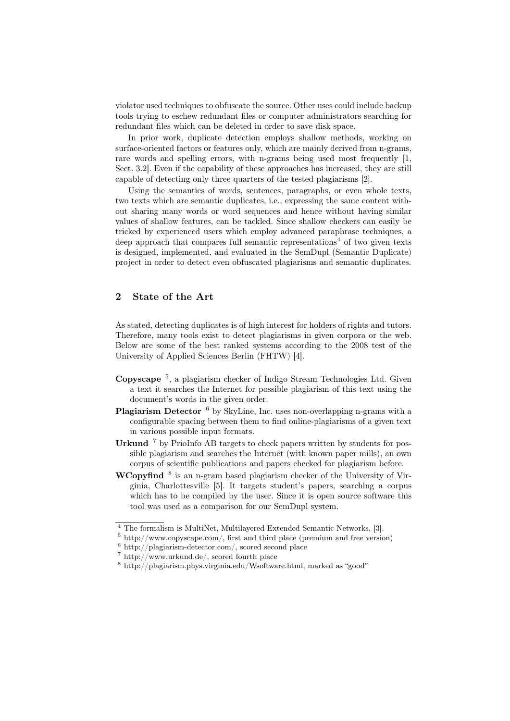violator used techniques to obfuscate the source. Other uses could include backup tools trying to eschew redundant files or computer administrators searching for redundant files which can be deleted in order to save disk space.

In prior work, duplicate detection employs shallow methods, working on surface-oriented factors or features only, which are mainly derived from n-grams, rare words and spelling errors, with n-grams being used most frequently [1, Sect. 3.2]. Even if the capability of these approaches has increased, they are still capable of detecting only three quarters of the tested plagiarisms [2].

Using the semantics of words, sentences, paragraphs, or even whole texts, two texts which are semantic duplicates, i.e., expressing the same content without sharing many words or word sequences and hence without having similar values of shallow features, can be tackled. Since shallow checkers can easily be tricked by experienced users which employ advanced paraphrase techniques, a deep approach that compares full semantic representations<sup>4</sup> of two given texts is designed, implemented, and evaluated in the SemDupl (Semantic Duplicate) project in order to detect even obfuscated plagiarisms and semantic duplicates.

# 2 State of the Art

As stated, detecting duplicates is of high interest for holders of rights and tutors. Therefore, many tools exist to detect plagiarisms in given corpora or the web. Below are some of the best ranked systems according to the 2008 test of the University of Applied Sciences Berlin (FHTW) [4].

- Copyscape <sup>5</sup> , a plagiarism checker of Indigo Stream Technologies Ltd. Given a text it searches the Internet for possible plagiarism of this text using the document's words in the given order.
- **Plagiarism Detector**  $\delta$  by SkyLine, Inc. uses non-overlapping n-grams with a configurable spacing between them to find online-plagiarisms of a given text in various possible input formats.
- Urkund<sup>7</sup> by PrioInfo AB targets to check papers written by students for possible plagiarism and searches the Internet (with known paper mills), an own corpus of scientific publications and papers checked for plagiarism before.
- WCopyfind <sup>8</sup> is an n-gram based plagiarism checker of the University of Virginia, Charlottesville [5]. It targets student's papers, searching a corpus which has to be compiled by the user. Since it is open source software this tool was used as a comparison for our SemDupl system.

<sup>4</sup> The formalism is MultiNet, Multilayered Extended Semantic Networks, [3].

<sup>5</sup> http://www.copyscape.com/, first and third place (premium and free version)

 $6$  http://plagiarism-detector.com/, scored second place

 $^7$ http://www.urkund.de/, scored fourth place

 $^8$ http://plagiarism.phys.virginia.edu/Wsoftware.html, marked as "good"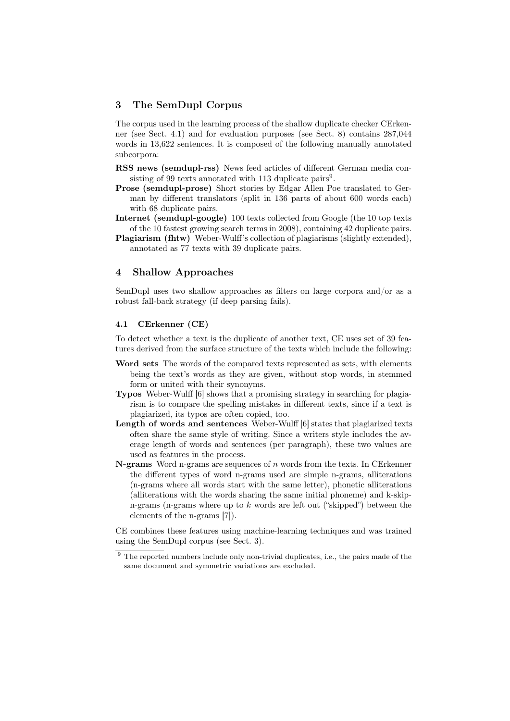# 3 The SemDupl Corpus

The corpus used in the learning process of the shallow duplicate checker CErkenner (see Sect. 4.1) and for evaluation purposes (see Sect. 8) contains 287,044 words in 13,622 sentences. It is composed of the following manually annotated subcorpora:

- RSS news (semdupl-rss) News feed articles of different German media consisting of 99 texts annotated with 113 duplicate pairs<sup>9</sup>.
- Prose (semdupl-prose) Short stories by Edgar Allen Poe translated to German by different translators (split in 136 parts of about 600 words each) with 68 duplicate pairs.
- Internet (semdupl-google) 100 texts collected from Google (the 10 top texts of the 10 fastest growing search terms in 2008), containing 42 duplicate pairs.
- Plagiarism (fhtw) Weber-Wulff's collection of plagiarisms (slightly extended), annotated as 77 texts with 39 duplicate pairs.

# 4 Shallow Approaches

SemDupl uses two shallow approaches as filters on large corpora and/or as a robust fall-back strategy (if deep parsing fails).

#### 4.1 CErkenner (CE)

To detect whether a text is the duplicate of another text, CE uses set of 39 features derived from the surface structure of the texts which include the following:

- Word sets The words of the compared texts represented as sets, with elements being the text's words as they are given, without stop words, in stemmed form or united with their synonyms.
- Typos Weber-Wulff [6] shows that a promising strategy in searching for plagiarism is to compare the spelling mistakes in different texts, since if a text is plagiarized, its typos are often copied, too.
- Length of words and sentences Weber-Wulff [6] states that plagiarized texts often share the same style of writing. Since a writers style includes the average length of words and sentences (per paragraph), these two values are used as features in the process.
- **N-grams** Word n-grams are sequences of  $n$  words from the texts. In CErkenner the different types of word n-grams used are simple n-grams, alliterations (n-grams where all words start with the same letter), phonetic alliterations (alliterations with the words sharing the same initial phoneme) and k-skipn-grams (n-grams where up to k words are left out ("skipped") between the elements of the n-grams [7]).

CE combines these features using machine-learning techniques and was trained using the SemDupl corpus (see Sect. 3).

 $9$  The reported numbers include only non-trivial duplicates, i.e., the pairs made of the same document and symmetric variations are excluded.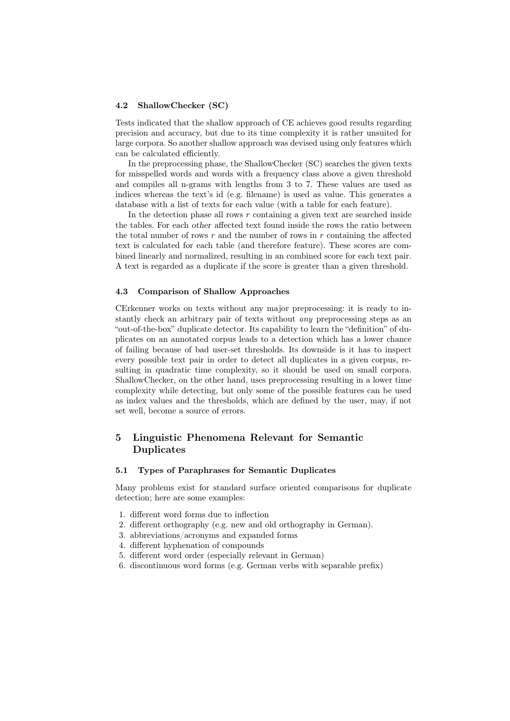#### 4.2 ShallowChecker (SC)

Tests indicated that the shallow approach of CE achieves good results regarding precision and accuracy, but due to its time complexity it is rather unsuited for large corpora. So another shallow approach was devised using only features which can be calculated efficiently.

In the preprocessing phase, the ShallowChecker (SC) searches the given texts for misspelled words and words with a frequency class above a given threshold and compiles all n-grams with lengths from 3 to 7. These values are used as indices whereas the text's id (e.g. filename) is used as value. This generates a database with a list of texts for each value (with a table for each feature).

In the detection phase all rows  $r$  containing a given text are searched inside the tables. For each other affected text found inside the rows the ratio between the total number of rows  $r$  and the number of rows in  $r$  containing the affected text is calculated for each table (and therefore feature). These scores are combined linearly and normalized, resulting in an combined score for each text pair. A text is regarded as a duplicate if the score is greater than a given threshold.

#### 4.3 Comparison of Shallow Approaches

CErkenner works on texts without any major preprocessing: it is ready to instantly check an arbitrary pair of texts without any preprocessing steps as an "out-of-the-box" duplicate detector. Its capability to learn the "definition" of duplicates on an annotated corpus leads to a detection which has a lower chance of failing because of bad user-set thresholds. Its downside is it has to inspect every possible text pair in order to detect all duplicates in a given corpus, resulting in quadratic time complexity, so it should be used on small corpora. ShallowChecker, on the other hand, uses preprocessing resulting in a lower time complexity while detecting, but only some of the possible features can be used as index values and the thresholds, which are defined by the user, may, if not set well, become a source of errors.

# 5 Linguistic Phenomena Relevant for Semantic Duplicates

#### 5.1 Types of Paraphrases for Semantic Duplicates

Many problems exist for standard surface oriented comparisons for duplicate detection; here are some examples:

- 1. different word forms due to inflection
- 2. different orthography (e.g. new and old orthography in German).
- 3. abbreviations/acronyms and expanded forms
- 4. different hyphenation of compounds
- 5. different word order (especially relevant in German)
- 6. discontinuous word forms (e.g. German verbs with separable prefix)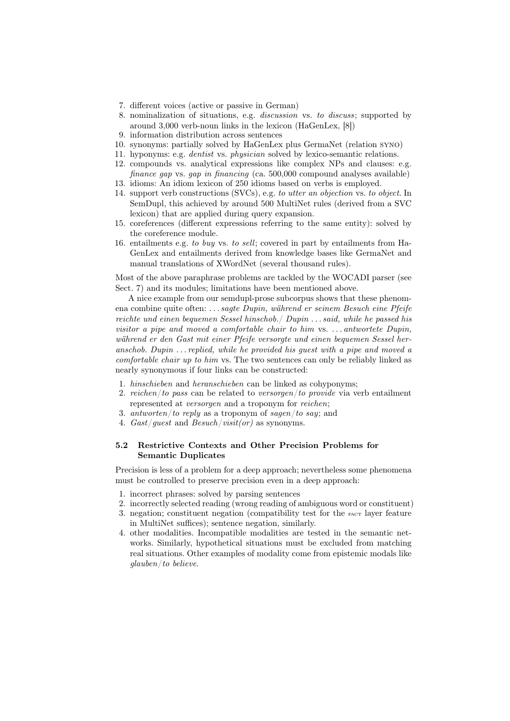- 7. different voices (active or passive in German)
- 8. nominalization of situations, e.g. discussion vs. to discuss; supported by around 3,000 verb-noun links in the lexicon (HaGenLex, [8])
- 9. information distribution across sentences
- 10. synonyms: partially solved by HaGenLex plus GermaNet (relation syno)
- 11. hyponyms: e.g. dentist vs. physician solved by lexico-semantic relations.
- 12. compounds vs. analytical expressions like complex NPs and clauses: e.g. finance gap vs. gap in financing (ca. 500,000 compound analyses available)
- 13. idioms: An idiom lexicon of 250 idioms based on verbs is employed.
- 14. support verb constructions (SVCs), e.g. to utter an objection vs. to object. In SemDupl, this achieved by around 500 MultiNet rules (derived from a SVC lexicon) that are applied during query expansion.
- 15. coreferences (different expressions referring to the same entity): solved by the coreference module.
- 16. entailments e.g. to buy vs. to sell; covered in part by entailments from Ha-GenLex and entailments derived from knowledge bases like GermaNet and manual translations of XWordNet (several thousand rules).

Most of the above paraphrase problems are tackled by the WOCADI parser (see Sect. 7) and its modules; limitations have been mentioned above.

A nice example from our semdupl-prose subcorpus shows that these phenomena combine quite often: . . . sagte Dupin, während er seinem Besuch eine Pfeife reichte und einen bequemen Sessel hinschob./ Dupin . . . said, while he passed his visitor a pipe and moved a comfortable chair to him vs. . . . antwortete Dupin, während er den Gast mit einer Pfeife versorgte und einen bequemen Sessel heranschob. Dupin  $\ldots$  replied, while he provided his guest with a pipe and moved a comfortable chair up to him vs. The two sentences can only be reliably linked as nearly synonymous if four links can be constructed:

- 1. hinschieben and heranschieben can be linked as cohyponyms;
- 2. reichen/to pass can be related to versorgen/to provide via verb entailment represented at versorgen and a troponym for reichen;
- 3. antworten/to reply as a troponym of sagen/to say; and
- 4.  $Gast/guest$  and  $Besuch/visit(or)$  as synonyms.

### 5.2 Restrictive Contexts and Other Precision Problems for Semantic Duplicates

Precision is less of a problem for a deep approach; nevertheless some phenomena must be controlled to preserve precision even in a deep approach:

- 1. incorrect phrases: solved by parsing sentences
- 2. incorrectly selected reading (wrong reading of ambiguous word or constituent)
- 3. negation; constituent negation (compatibility test for the FACT layer feature in MultiNet suffices); sentence negation, similarly.
- 4. other modalities. Incompatible modalities are tested in the semantic networks. Similarly, hypothetical situations must be excluded from matching real situations. Other examples of modality come from epistemic modals like glauben/to believe.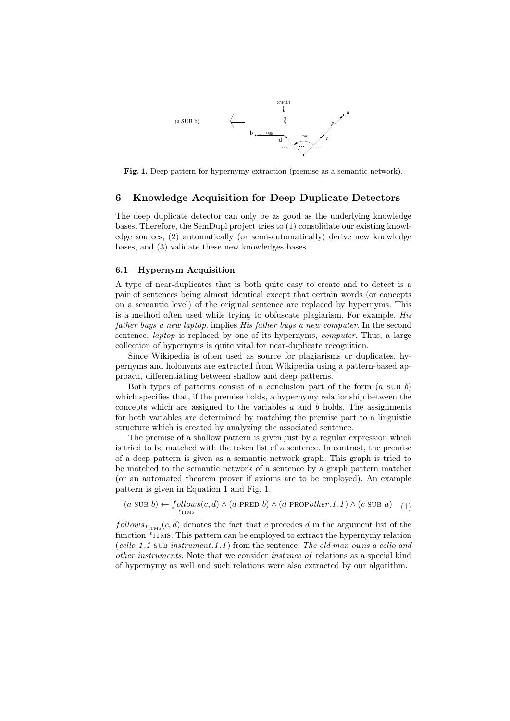

Fig. 1. Deep pattern for hypernymy extraction (premise as a semantic network).

### 6 Knowledge Acquisition for Deep Duplicate Detectors

The deep duplicate detector can only be as good as the underlying knowledge bases. Therefore, the SemDupl project tries to (1) consolidate our existing knowledge sources, (2) automatically (or semi-automatically) derive new knowledge bases, and (3) validate these new knowledges bases.

#### 6.1 Hypernym Acquisition

A type of near-duplicates that is both quite easy to create and to detect is a pair of sentences being almost identical except that certain words (or concepts on a semantic level) of the original sentence are replaced by hypernyms. This is a method often used while trying to obfuscate plagiarism. For example, His father buys a new laptop. implies His father buys a new computer. In the second sentence, *laptop* is replaced by one of its hypernyms, *computer*. Thus, a large collection of hypernyms is quite vital for near-duplicate recognition.

Since Wikipedia is often used as source for plagiarisms or duplicates, hypernyms and holonyms are extracted from Wikipedia using a pattern-based approach, differentiating between shallow and deep patterns.

Both types of patterns consist of a conclusion part of the form  $(a \text{ SUB } b)$ which specifies that, if the premise holds, a hypernymy relationship between the concepts which are assigned to the variables  $a$  and  $b$  holds. The assignments for both variables are determined by matching the premise part to a linguistic structure which is created by analyzing the associated sentence.

The premise of a shallow pattern is given just by a regular expression which is tried to be matched with the token list of a sentence. In contrast, the premise of a deep pattern is given as a semantic network graph. This graph is tried to be matched to the semantic network of a sentence by a graph pattern matcher (or an automated theorem prover if axioms are to be employed). An example pattern is given in Equation 1 and Fig. 1.

$$
(a \text{ SUB } b) \leftarrow follows(c, d) \land (d \text{ PRED } b) \land (d \text{ PROPO}ther.1.1) \land (c \text{ SUB } a)
$$
 (1)

 $follows*_{\text{trws}}(c, d)$  denotes the fact that c precedes d in the argument list of the function \*itms. This pattern can be employed to extract the hypernymy relation  $(cello.1.1$  SUB instrument.1.1) from the sentence: The old man owns a cello and other instruments. Note that we consider instance of relations as a special kind of hypernymy as well and such relations were also extracted by our algorithm.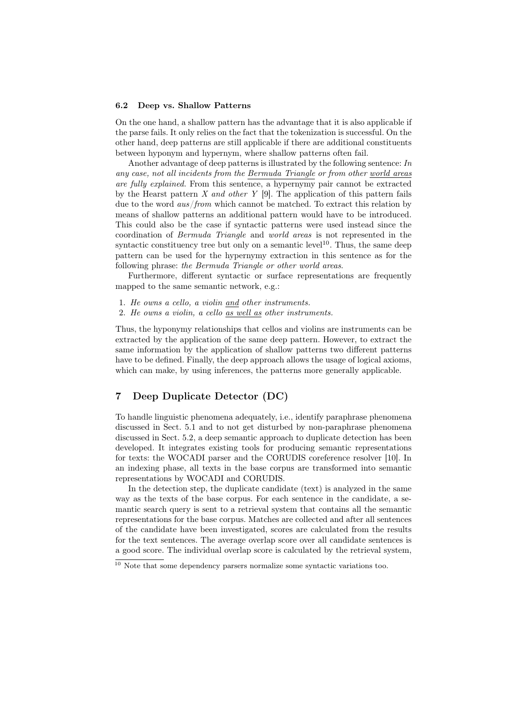#### 6.2 Deep vs. Shallow Patterns

On the one hand, a shallow pattern has the advantage that it is also applicable if the parse fails. It only relies on the fact that the tokenization is successful. On the other hand, deep patterns are still applicable if there are additional constituents between hyponym and hypernym, where shallow patterns often fail.

Another advantage of deep patterns is illustrated by the following sentence: In any case, not all incidents from the Bermuda Triangle or from other world areas are fully explained. From this sentence, a hypernymy pair cannot be extracted by the Hearst pattern X and other Y [9]. The application of this pattern fails due to the word *aus/from* which cannot be matched. To extract this relation by means of shallow patterns an additional pattern would have to be introduced. This could also be the case if syntactic patterns were used instead since the coordination of Bermuda Triangle and world areas is not represented in the syntactic constituency tree but only on a semantic level<sup>10</sup>. Thus, the same deep pattern can be used for the hypernymy extraction in this sentence as for the following phrase: the Bermuda Triangle or other world areas.

Furthermore, different syntactic or surface representations are frequently mapped to the same semantic network, e.g.:

- 1. He owns a cello, a violin and other instruments.
- 2. He owns a violin, a cello as well as other instruments.

Thus, the hyponymy relationships that cellos and violins are instruments can be extracted by the application of the same deep pattern. However, to extract the same information by the application of shallow patterns two different patterns have to be defined. Finally, the deep approach allows the usage of logical axioms, which can make, by using inferences, the patterns more generally applicable.

# 7 Deep Duplicate Detector (DC)

To handle linguistic phenomena adequately, i.e., identify paraphrase phenomena discussed in Sect. 5.1 and to not get disturbed by non-paraphrase phenomena discussed in Sect. 5.2, a deep semantic approach to duplicate detection has been developed. It integrates existing tools for producing semantic representations for texts: the WOCADI parser and the CORUDIS coreference resolver [10]. In an indexing phase, all texts in the base corpus are transformed into semantic representations by WOCADI and CORUDIS.

In the detection step, the duplicate candidate (text) is analyzed in the same way as the texts of the base corpus. For each sentence in the candidate, a semantic search query is sent to a retrieval system that contains all the semantic representations for the base corpus. Matches are collected and after all sentences of the candidate have been investigated, scores are calculated from the results for the text sentences. The average overlap score over all candidate sentences is a good score. The individual overlap score is calculated by the retrieval system,

 $^{10}$  Note that some dependency parsers normalize some syntactic variations too.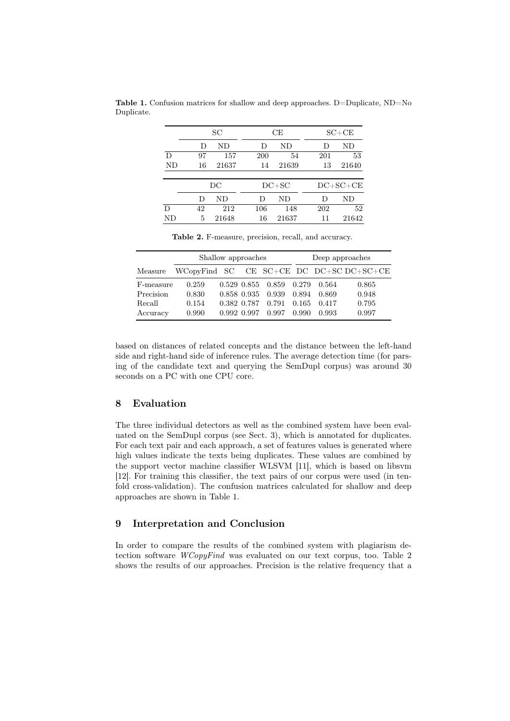|    | SС |       |     | СE                  | $SC+CE$    |       |  |
|----|----|-------|-----|---------------------|------------|-------|--|
|    | D  | ND    | Ð   | ND                  | D          | ND    |  |
| D  | 97 | 157   | 200 | 54                  | 201        | 53    |  |
| ΝD | 16 | 21637 | 14  | 21639               | 13         | 21640 |  |
|    |    |       |     |                     |            |       |  |
|    | DС |       |     | $_{\mathrm{DC+SC}}$ | $DC+SC+CE$ |       |  |
|    | D  | ND    | D   | ND                  | D          | ND.   |  |
| D  | 42 | 212   | 106 | 148                 | 202        | 52    |  |
| ND | 5  | 21648 | 16  | 21637               | 11         | 21642 |  |

Table 1. Confusion matrices for shallow and deep approaches. D=Duplicate, ND=No Duplicate.

Table 2. F-measure, precision, recall, and accuracy.

|           | Shallow approaches |  |             |                                 |       | Deep approaches |                                           |  |
|-----------|--------------------|--|-------------|---------------------------------|-------|-----------------|-------------------------------------------|--|
| Measure   |                    |  |             |                                 |       |                 | WCopyFind SC $CE$ SC+CE DC DC+SC DC+SC+CE |  |
| F-measure | 0.259              |  |             | $0.529$ $0.855$ $0.859$ $0.279$ |       | 0.564           | 0.865                                     |  |
| Precision | 0.830              |  |             | 0.858 0.935 0.939               | 0.894 | 0.869           | 0.948                                     |  |
| Recall    | 0.154              |  | 0.382 0.787 | 0.791 0.165                     |       | 0.417           | 0.795                                     |  |
| Accuracy  | 0.990              |  | 0.992 0.997 | 0.997                           | 0.990 | 0.993           | 0.997                                     |  |

based on distances of related concepts and the distance between the left-hand side and right-hand side of inference rules. The average detection time (for parsing of the candidate text and querying the SemDupl corpus) was around 30 seconds on a PC with one CPU core.

# 8 Evaluation

The three individual detectors as well as the combined system have been evaluated on the SemDupl corpus (see Sect. 3), which is annotated for duplicates. For each text pair and each approach, a set of features values is generated where high values indicate the texts being duplicates. These values are combined by the support vector machine classifier WLSVM [11], which is based on libsvm [12]. For training this classifier, the text pairs of our corpus were used (in tenfold cross-validation). The confusion matrices calculated for shallow and deep approaches are shown in Table 1.

# 9 Interpretation and Conclusion

In order to compare the results of the combined system with plagiarism detection software WCopyFind was evaluated on our text corpus, too. Table 2 shows the results of our approaches. Precision is the relative frequency that a